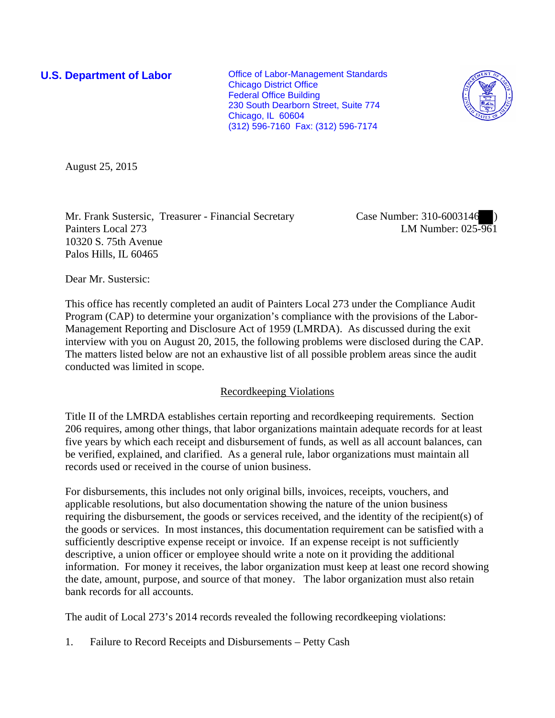**U.S. Department of Labor Conservative Conservative Conservative Conservative Conservative Conservative Conservative Conservative Conservative Conservative Conservative Conservative Conservative Conservative Conservative** Chicago District Office Federal Office Building 230 South Dearborn Street, Suite 774 Chicago, IL 60604 (312) 596-7160 Fax: (312) 596-7174



August 25, 2015

Mr. Frank Sustersic, Treasurer - Financial Secretary Painters Local 273 10320 S. 75th Avenue Palos Hills, IL 60465

Case Number: 310-6003146 ) LM Number: 025-961

Dear Mr. Sustersic:

This office has recently completed an audit of Painters Local 273 under the Compliance Audit Program (CAP) to determine your organization's compliance with the provisions of the Labor-Management Reporting and Disclosure Act of 1959 (LMRDA). As discussed during the exit interview with you on August 20, 2015, the following problems were disclosed during the CAP. The matters listed below are not an exhaustive list of all possible problem areas since the audit conducted was limited in scope.

# Recordkeeping Violations

Title II of the LMRDA establishes certain reporting and recordkeeping requirements. Section 206 requires, among other things, that labor organizations maintain adequate records for at least five years by which each receipt and disbursement of funds, as well as all account balances, can be verified, explained, and clarified. As a general rule, labor organizations must maintain all records used or received in the course of union business.

For disbursements, this includes not only original bills, invoices, receipts, vouchers, and applicable resolutions, but also documentation showing the nature of the union business requiring the disbursement, the goods or services received, and the identity of the recipient(s) of the goods or services. In most instances, this documentation requirement can be satisfied with a sufficiently descriptive expense receipt or invoice. If an expense receipt is not sufficiently descriptive, a union officer or employee should write a note on it providing the additional information. For money it receives, the labor organization must keep at least one record showing the date, amount, purpose, and source of that money. The labor organization must also retain bank records for all accounts.

The audit of Local 273's 2014 records revealed the following recordkeeping violations:

1. Failure to Record Receipts and Disbursements – Petty Cash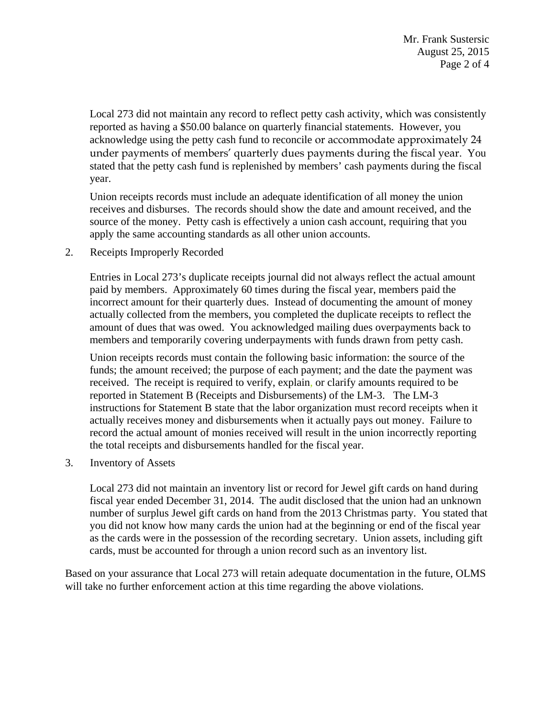Mr. Frank Sustersic August 25, 2015 Page 2 of 4

Local 273 did not maintain any record to reflect petty cash activity, which was consistently reported as having a \$50.00 balance on quarterly financial statements. However, you acknowledge using the petty cash fund to reconcile or accommodate approximately 24 under payments of members' quarterly dues payments during the fiscal year. You stated that the petty cash fund is replenished by members' cash payments during the fiscal year.

Union receipts records must include an adequate identification of all money the union receives and disburses. The records should show the date and amount received, and the source of the money. Petty cash is effectively a union cash account, requiring that you apply the same accounting standards as all other union accounts.

2. Receipts Improperly Recorded

Entries in Local 273's duplicate receipts journal did not always reflect the actual amount paid by members. Approximately 60 times during the fiscal year, members paid the incorrect amount for their quarterly dues. Instead of documenting the amount of money actually collected from the members, you completed the duplicate receipts to reflect the amount of dues that was owed. You acknowledged mailing dues overpayments back to members and temporarily covering underpayments with funds drawn from petty cash.

Union receipts records must contain the following basic information: the source of the funds; the amount received; the purpose of each payment; and the date the payment was received. The receipt is required to verify, explain, or clarify amounts required to be reported in Statement B (Receipts and Disbursements) of the LM-3. The LM-3 instructions for Statement B state that the labor organization must record receipts when it actually receives money and disbursements when it actually pays out money. Failure to record the actual amount of monies received will result in the union incorrectly reporting the total receipts and disbursements handled for the fiscal year.

3. Inventory of Assets

Local 273 did not maintain an inventory list or record for Jewel gift cards on hand during fiscal year ended December 31, 2014. The audit disclosed that the union had an unknown number of surplus Jewel gift cards on hand from the 2013 Christmas party. You stated that you did not know how many cards the union had at the beginning or end of the fiscal year as the cards were in the possession of the recording secretary. Union assets, including gift cards, must be accounted for through a union record such as an inventory list.

Based on your assurance that Local 273 will retain adequate documentation in the future, OLMS will take no further enforcement action at this time regarding the above violations.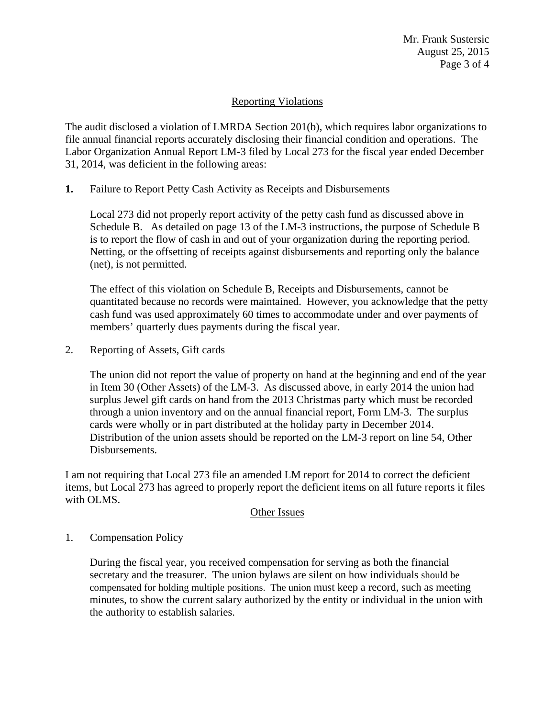Mr. Frank Sustersic August 25, 2015 Page 3 of 4

# Reporting Violations

The audit disclosed a violation of LMRDA Section 201(b), which requires labor organizations to file annual financial reports accurately disclosing their financial condition and operations. The Labor Organization Annual Report LM-3 filed by Local 273 for the fiscal year ended December 31, 2014, was deficient in the following areas:

**1.** Failure to Report Petty Cash Activity as Receipts and Disbursements

Local 273 did not properly report activity of the petty cash fund as discussed above in Schedule B. As detailed on page 13 of the LM-3 instructions, the purpose of Schedule B is to report the flow of cash in and out of your organization during the reporting period. Netting, or the offsetting of receipts against disbursements and reporting only the balance (net), is not permitted.

The effect of this violation on Schedule B, Receipts and Disbursements, cannot be quantitated because no records were maintained. However, you acknowledge that the petty cash fund was used approximately 60 times to accommodate under and over payments of members' quarterly dues payments during the fiscal year.

2. Reporting of Assets, Gift cards

The union did not report the value of property on hand at the beginning and end of the year in Item 30 (Other Assets) of the LM-3. As discussed above, in early 2014 the union had surplus Jewel gift cards on hand from the 2013 Christmas party which must be recorded through a union inventory and on the annual financial report, Form LM-3. The surplus cards were wholly or in part distributed at the holiday party in December 2014. Distribution of the union assets should be reported on the LM-3 report on line 54, Other Disbursements.

I am not requiring that Local 273 file an amended LM report for 2014 to correct the deficient items, but Local 273 has agreed to properly report the deficient items on all future reports it files with OLMS.

## Other Issues

## 1. Compensation Policy

During the fiscal year, you received compensation for serving as both the financial secretary and the treasurer. The union bylaws are silent on how individuals should be compensated for holding multiple positions. The union must keep a record, such as meeting minutes, to show the current salary authorized by the entity or individual in the union with the authority to establish salaries.